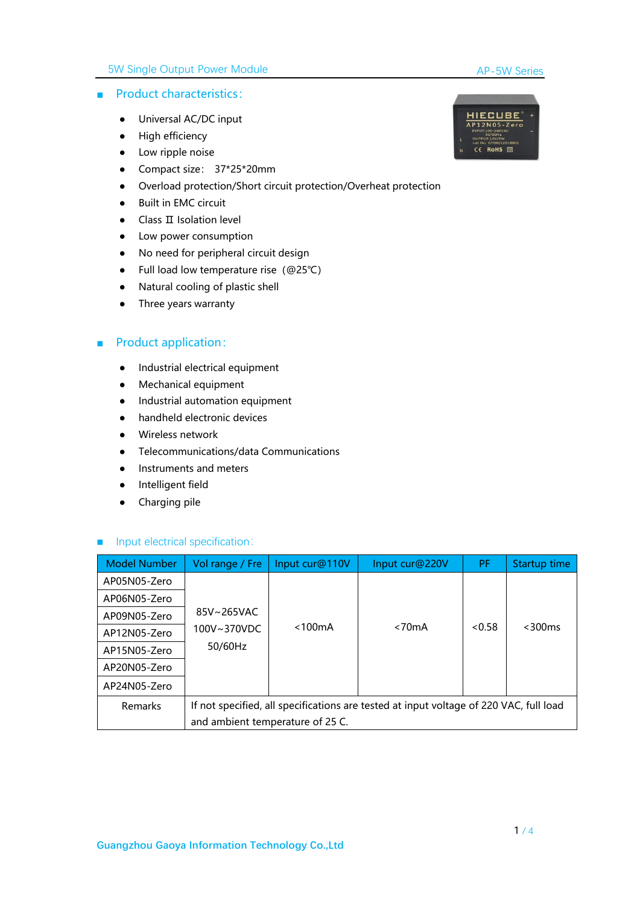#### AP-5W Series

### ■ Product characteristics:

- Universal AC/DC input
- High efficiency
- Low ripple noise
- Compact size: 37\*25\*20mm
- Overload protection/Short circuit protection/Overheat protection
- Built in EMC circuit
- Class II Isolation level
- Low power consumption
- No need for peripheral circuit design
- Full load low temperature rise(@25℃)
- Natural cooling of plastic shell<br>● Three years warranty
- 

### ■ Product application:

- Industrial electrical equipment
- Mechanical equipment
- Industrial automation equipment
- handheld electronic devices
- Wireless network
- Telecommunications/data Communications
- Instruments and meters
- Intelligent field
- Charging pile

#### ■ Input electrical specification:

| <b>Model Number</b> | Vol range / Fre                                                                        | Input cur@110V | Input cur@220V | <b>PF</b> | Startup time |
|---------------------|----------------------------------------------------------------------------------------|----------------|----------------|-----------|--------------|
| AP05N05-Zero        |                                                                                        |                |                |           |              |
| AP06N05-Zero        |                                                                                        |                |                |           |              |
| AP09N05-Zero        | 85V~265VAC                                                                             |                |                |           |              |
| AP12N05-Zero        | 100V~370VDC                                                                            | $<$ 100 $mA$   | < 70mA         | < 0.58    | $<$ 300 $ms$ |
| AP15N05-Zero        | 50/60Hz                                                                                |                |                |           |              |
| AP20N05-Zero        |                                                                                        |                |                |           |              |
| AP24N05-Zero        |                                                                                        |                |                |           |              |
| <b>Remarks</b>      | If not specified, all specifications are tested at input voltage of 220 VAC, full load |                |                |           |              |
|                     | and ambient temperature of 25 C.                                                       |                |                |           |              |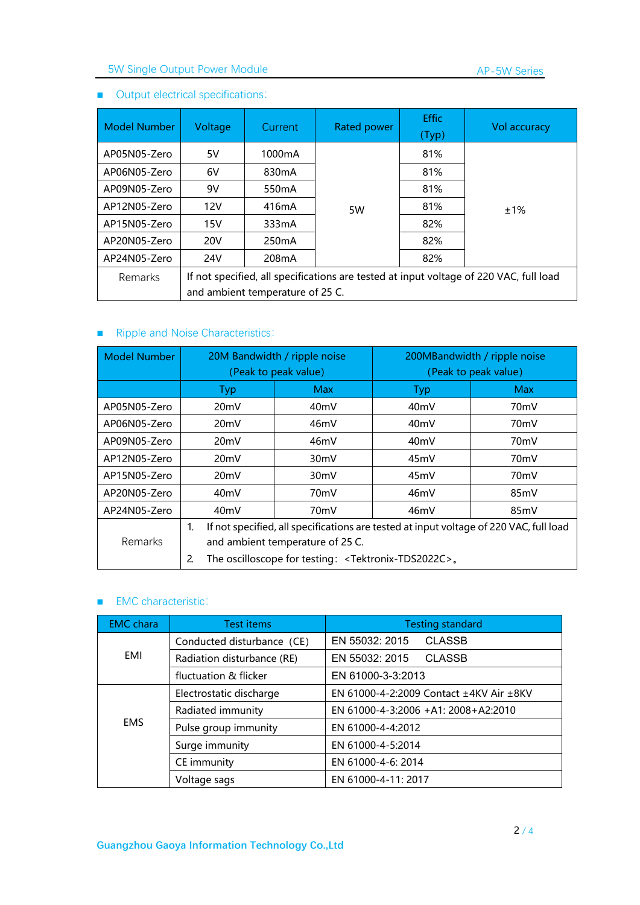# 5W Single Output Power Module

## ■ Output electrical specifications:

| Model Number | Voltage                                                                                                                    | Current            | Rated power | <b>Effic</b><br>(Typ) | <b>Vol accuracy</b> |  |
|--------------|----------------------------------------------------------------------------------------------------------------------------|--------------------|-------------|-----------------------|---------------------|--|
| AP05N05-Zero | 5V                                                                                                                         | 1000mA             |             | 81%                   |                     |  |
| AP06N05-Zero | 6V                                                                                                                         | 830 <sub>m</sub> A |             | 81%                   |                     |  |
| AP09N05-Zero | 9V                                                                                                                         | 550 <sub>m</sub> A |             | 81%                   |                     |  |
| AP12N05-Zero | 12V                                                                                                                        | 416mA              | 5W          | 81%                   | ±1%                 |  |
| AP15N05-Zero | 15V                                                                                                                        | 333mA              |             | 82%                   |                     |  |
| AP20N05-Zero | <b>20V</b>                                                                                                                 | 250 <sub>m</sub> A |             | 82%                   |                     |  |
| AP24N05-Zero | 24V                                                                                                                        | 208 <sub>m</sub> A |             | 82%                   |                     |  |
| Remarks      | If not specified, all specifications are tested at input voltage of 220 VAC, full load<br>and ambient temperature of 25 C. |                    |             |                       |                     |  |

### ■ Ripple and Noise Characteristics:

| Model Number | 20M Bandwidth / ripple noise                                                    |                      | 200MBandwidth / ripple noise |                                                                                        |  |
|--------------|---------------------------------------------------------------------------------|----------------------|------------------------------|----------------------------------------------------------------------------------------|--|
|              |                                                                                 | (Peak to peak value) | (Peak to peak value)         |                                                                                        |  |
|              | Typ                                                                             | <b>Max</b>           | Typ                          | <b>Max</b>                                                                             |  |
| AP05N05-Zero | 20mV                                                                            | 40 <sub>m</sub> V    | 40 <sub>m</sub> V            | 70 <sub>m</sub> V                                                                      |  |
| AP06N05-Zero | 20mV                                                                            | 46mV                 | 40 <sub>m</sub> V            | 70 <sub>m</sub> V                                                                      |  |
| AP09N05-Zero | 20mV                                                                            | 46mV                 | 40 <sub>m</sub> V            | 70 <sub>m</sub> V                                                                      |  |
| AP12N05-Zero | 20mV                                                                            | 30 <sub>m</sub> V    | 45 <sub>m</sub> V            | 70 <sub>m</sub> V                                                                      |  |
| AP15N05-Zero | 20mV                                                                            | 30 <sub>m</sub> V    | 45 <sub>m</sub> V            | 70 <sub>m</sub> V                                                                      |  |
| AP20N05-Zero | 40 <sub>m</sub> V                                                               | 70 <sub>m</sub> V    | 46mV                         | 85 <sub>m</sub> V                                                                      |  |
| AP24N05-Zero | 40 <sub>m</sub> V                                                               | 70 <sub>m</sub> V    | 46mV                         | 85 <sub>m</sub> V                                                                      |  |
|              |                                                                                 |                      |                              | If not specified, all specifications are tested at input voltage of 220 VAC, full load |  |
| Remarks      | and ambient temperature of 25 C.                                                |                      |                              |                                                                                        |  |
|              | The oscilloscope for testing: <tektronix-tds2022c>.<br/>2.</tektronix-tds2022c> |                      |                              |                                                                                        |  |

#### ■ EMC characteristic:

| <b>EMC</b> chara | <b>Test items</b>          | <b>Testing standard</b>                 |  |  |  |  |
|------------------|----------------------------|-----------------------------------------|--|--|--|--|
|                  | Conducted disturbance (CE) | <b>CLASSB</b><br>EN 55032: 2015         |  |  |  |  |
| EMI              | Radiation disturbance (RE) | EN 55032: 2015<br><b>CLASSB</b>         |  |  |  |  |
|                  | fluctuation & flicker      | EN 61000-3-3:2013                       |  |  |  |  |
|                  | Electrostatic discharge    | EN 61000-4-2:2009 Contact ±4KV Air ±8KV |  |  |  |  |
|                  | Radiated immunity          | EN 61000-4-3:2006 +A1: 2008+A2:2010     |  |  |  |  |
| <b>EMS</b>       | Pulse group immunity       | EN 61000-4-4:2012                       |  |  |  |  |
|                  | Surge immunity             | EN 61000-4-5:2014                       |  |  |  |  |
|                  | CE immunity                | EN 61000-4-6: 2014                      |  |  |  |  |
|                  | Voltage sags               | EN 61000-4-11: 2017                     |  |  |  |  |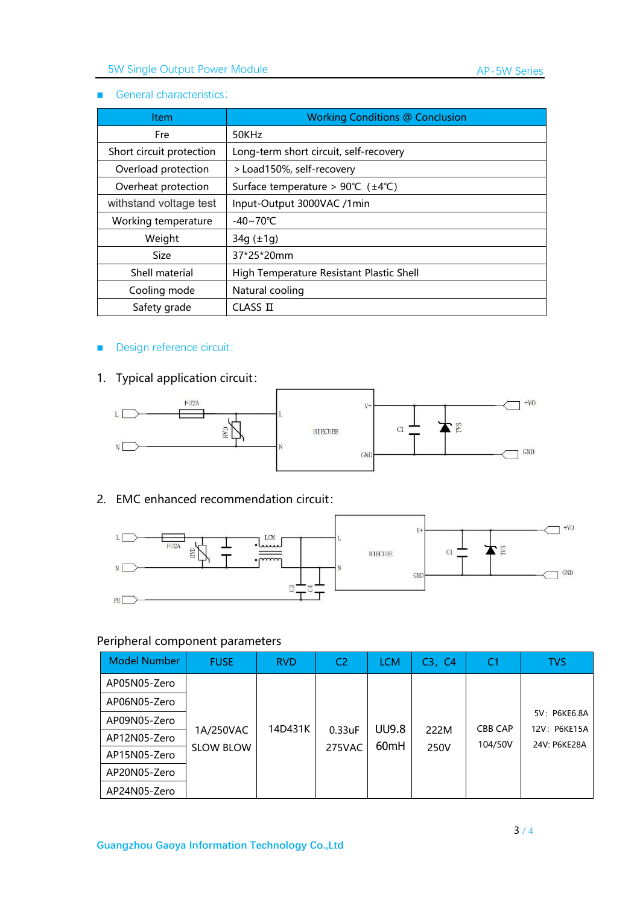#### ■ General characteristics:

| <b>Item</b>              | <b>Working Conditions @ Conclusion</b>                   |
|--------------------------|----------------------------------------------------------|
| Fre                      | 50KHz                                                    |
| Short circuit protection | Long-term short circuit, self-recovery                   |
| Overload protection      | > Load150%, self-recovery                                |
| Overheat protection      | Surface temperature > $90^{\circ}C$ ( $\pm 4^{\circ}C$ ) |
| withstand voltage test   | Input-Output 3000VAC /1min                               |
| Working temperature      | $-40 \sim 70^{\circ}$ C                                  |
| Weight                   | $34q (\pm 1q)$                                           |
| <b>Size</b>              | 37*25*20mm                                               |
| Shell material           | High Temperature Resistant Plastic Shell                 |
| Cooling mode             | Natural cooling                                          |
| Safety grade             | CLASS II                                                 |

## ■ Design reference circuit:

# 1. Typical application circuit:



## 2. EMC enhanced recommendation circuit:



## Peripheral component parameters

| <b>Model Number</b> | <b>FUSE</b>      | <b>RVD</b> | C <sub>2</sub> | <b>LCM</b>                       | C3, C4 | C1      | <b>TVS</b>                   |
|---------------------|------------------|------------|----------------|----------------------------------|--------|---------|------------------------------|
| AP05N05-Zero        |                  |            |                |                                  |        |         |                              |
| AP06N05-Zero        |                  |            |                |                                  |        |         |                              |
| AP09N05-Zero        |                  | 14D431K    |                |                                  |        | CBB CAP | 5V: P6KE6.8A<br>12V: P6KE15A |
| AP12N05-Zero        | 1A/250VAC        |            | $0.33$ uF      | <b>UU9.8</b><br>60 <sub>mH</sub> | 222M   | 104/50V | 24V: P6KE28A                 |
| AP15N05-Zero        | <b>SLOW BLOW</b> |            | 275VAC         |                                  | 250V   |         |                              |
| AP20N05-Zero        |                  |            |                |                                  |        |         |                              |
| AP24N05-Zero        |                  |            |                |                                  |        |         |                              |